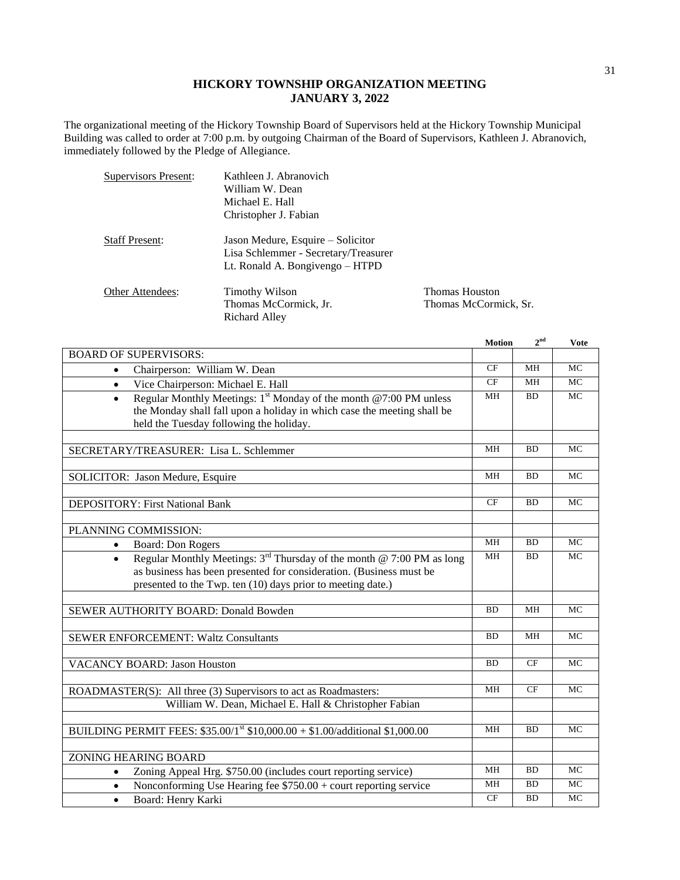## **HICKORY TOWNSHIP ORGANIZATION MEETING JANUARY 3, 2022**

Thomas Houston Thomas McCormick, Sr.

The organizational meeting of the Hickory Township Board of Supervisors held at the Hickory Township Municipal Building was called to order at 7:00 p.m. by outgoing Chairman of the Board of Supervisors, Kathleen J. Abranovich, immediately followed by the Pledge of Allegiance.

| Supervisors Present:  | Kathleen J. Abranovich               |
|-----------------------|--------------------------------------|
|                       | William W. Dean                      |
|                       | Michael E. Hall                      |
|                       | Christopher J. Fabian                |
| <b>Staff Present:</b> | Jason Medure, Esquire – Solicitor    |
|                       | Lisa Schlemmer - Secretary/Treasurer |
|                       | Lt. Ronald A. Bongivengo - HTPD      |
| Other Attendees:      | <b>Timothy Wilson</b>                |
|                       | Thomas McCormick, Jr.                |
|                       | Richard Alley                        |

|                                                                                            | <b>Motion</b>   | $2^{\text{nd}}$ | <b>Vote</b> |
|--------------------------------------------------------------------------------------------|-----------------|-----------------|-------------|
| <b>BOARD OF SUPERVISORS:</b>                                                               |                 |                 |             |
| Chairperson: William W. Dean<br>$\bullet$                                                  | CF              | MH              | <b>MC</b>   |
| Vice Chairperson: Michael E. Hall<br>$\bullet$                                             | CF              | <b>MH</b>       | <b>MC</b>   |
| Regular Monthly Meetings: 1 <sup>st</sup> Monday of the month @7:00 PM unless<br>$\bullet$ | MH              | <b>BD</b>       | <b>MC</b>   |
| the Monday shall fall upon a holiday in which case the meeting shall be                    |                 |                 |             |
| held the Tuesday following the holiday.                                                    |                 |                 |             |
|                                                                                            |                 |                 |             |
| SECRETARY/TREASURER: Lisa L. Schlemmer                                                     | MH              | <b>BD</b>       | <b>MC</b>   |
|                                                                                            |                 |                 |             |
| SOLICITOR: Jason Medure, Esquire                                                           | <b>MH</b>       | <b>BD</b>       | <b>MC</b>   |
|                                                                                            |                 |                 |             |
| DEPOSITORY: First National Bank                                                            | CF              | <b>BD</b>       | <b>MC</b>   |
|                                                                                            |                 |                 |             |
| PLANNING COMMISSION:                                                                       |                 |                 |             |
| <b>Board: Don Rogers</b><br>$\bullet$                                                      | <b>MH</b>       | <b>BD</b>       | <b>MC</b>   |
| Regular Monthly Meetings: $3^{rd}$ Thursday of the month @ 7:00 PM as long<br>$\bullet$    | MH              | <b>BD</b>       | MC          |
| as business has been presented for consideration. (Business must be                        |                 |                 |             |
| presented to the Twp. ten (10) days prior to meeting date.)                                |                 |                 |             |
|                                                                                            |                 |                 |             |
| SEWER AUTHORITY BOARD: Donald Bowden                                                       | <b>BD</b>       | MH              | <b>MC</b>   |
|                                                                                            |                 |                 |             |
| <b>SEWER ENFORCEMENT: Waltz Consultants</b>                                                | <b>BD</b>       | <b>MH</b>       | <b>MC</b>   |
|                                                                                            |                 |                 |             |
| <b>VACANCY BOARD: Jason Houston</b>                                                        |                 | CF              | <b>MC</b>   |
|                                                                                            |                 |                 |             |
| ROADMASTER(S): All three (3) Supervisors to act as Roadmasters:                            | MH              | CF              | MC          |
| William W. Dean, Michael E. Hall & Christopher Fabian                                      |                 |                 |             |
|                                                                                            |                 |                 |             |
| BUILDING PERMIT FEES: \$35.00/1st \$10,000.00 + \$1.00/additional \$1,000.00               | $\overline{MH}$ | BD              | MC          |
|                                                                                            |                 |                 |             |
| <b>ZONING HEARING BOARD</b>                                                                |                 |                 |             |
| Zoning Appeal Hrg. \$750.00 (includes court reporting service)<br>$\bullet$                | MH              | BD              | MC          |
| Nonconforming Use Hearing fee $$750.00 +$ court reporting service<br>$\bullet$             | MH              | <b>BD</b>       | <b>MC</b>   |
| Board: Henry Karki<br>$\bullet$                                                            | CF              | <b>BD</b>       | <b>MC</b>   |